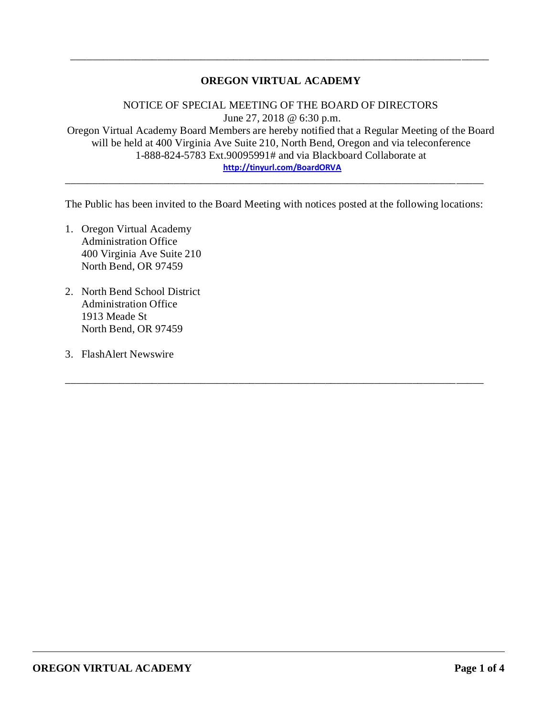## **OREGON VIRTUAL ACADEMY**

\_\_\_\_\_\_\_\_\_\_\_\_\_\_\_\_\_\_\_\_\_\_\_\_\_\_\_\_\_\_\_\_\_\_\_\_\_\_\_\_\_\_\_\_\_\_\_\_\_\_\_\_\_\_\_\_\_\_\_\_\_\_\_\_\_\_\_\_\_\_\_\_\_\_\_\_\_

NOTICE OF SPECIAL MEETING OF THE BOARD OF DIRECTORS June 27, 2018 @ 6:30 p.m. Oregon Virtual Academy Board Members are hereby notified that a Regular Meeting of the Board will be held at 400 Virginia Ave Suite 210, North Bend, Oregon and via teleconference 1-888-824-5783 Ext.90095991# and via Blackboard Collaborate at **<http://tinyurl.com/BoardORVA>**

The Public has been invited to the Board Meeting with notices posted at the following locations:

\_\_\_\_\_\_\_\_\_\_\_\_\_\_\_\_\_\_\_\_\_\_\_\_\_\_\_\_\_\_\_\_\_\_\_\_\_\_\_\_\_\_\_\_\_\_\_\_\_\_\_\_\_\_\_\_\_\_\_\_\_\_\_\_\_\_\_\_\_\_\_\_\_\_\_\_\_

\_\_\_\_\_\_\_\_\_\_\_\_\_\_\_\_\_\_\_\_\_\_\_\_\_\_\_\_\_\_\_\_\_\_\_\_\_\_\_\_\_\_\_\_\_\_\_\_\_\_\_\_\_\_\_\_\_\_\_\_\_\_\_\_\_\_\_\_\_\_\_\_\_\_\_\_\_

- 1. Oregon Virtual Academy Administration Office 400 Virginia Ave Suite 210 North Bend, OR 97459
- 2. North Bend School District Administration Office 1913 Meade St North Bend, OR 97459
- 3. FlashAlert Newswire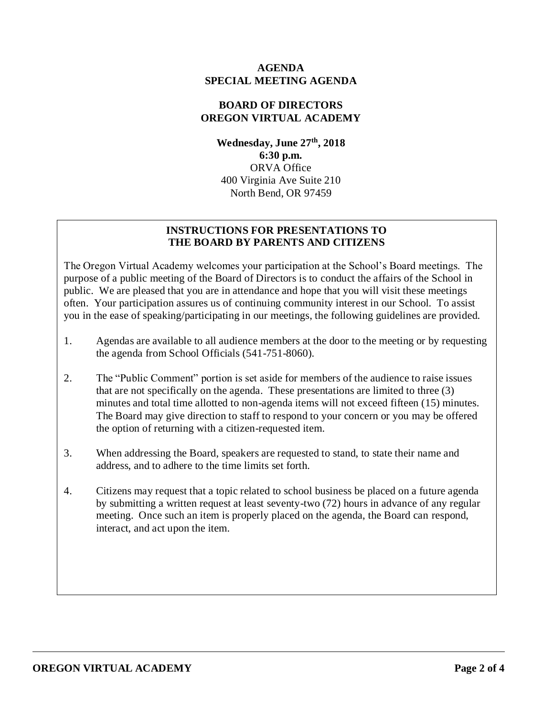#### **AGENDA SPECIAL MEETING AGENDA**

## **BOARD OF DIRECTORS OREGON VIRTUAL ACADEMY**

**Wednesday, June 27th , 2018 6:30 p.m.** ORVA Office 400 Virginia Ave Suite 210 North Bend, OR 97459

## **INSTRUCTIONS FOR PRESENTATIONS TO THE BOARD BY PARENTS AND CITIZENS**

The Oregon Virtual Academy welcomes your participation at the School's Board meetings. The purpose of a public meeting of the Board of Directors is to conduct the affairs of the School in public. We are pleased that you are in attendance and hope that you will visit these meetings often. Your participation assures us of continuing community interest in our School. To assist you in the ease of speaking/participating in our meetings, the following guidelines are provided.

- 1. Agendas are available to all audience members at the door to the meeting or by requesting the agenda from School Officials (541-751-8060).
- 2. The "Public Comment" portion is set aside for members of the audience to raise issues that are not specifically on the agenda. These presentations are limited to three (3) minutes and total time allotted to non-agenda items will not exceed fifteen (15) minutes. The Board may give direction to staff to respond to your concern or you may be offered the option of returning with a citizen-requested item.
- 3. When addressing the Board, speakers are requested to stand, to state their name and address, and to adhere to the time limits set forth.
- 4. Citizens may request that a topic related to school business be placed on a future agenda by submitting a written request at least seventy-two (72) hours in advance of any regular meeting. Once such an item is properly placed on the agenda, the Board can respond, interact, and act upon the item.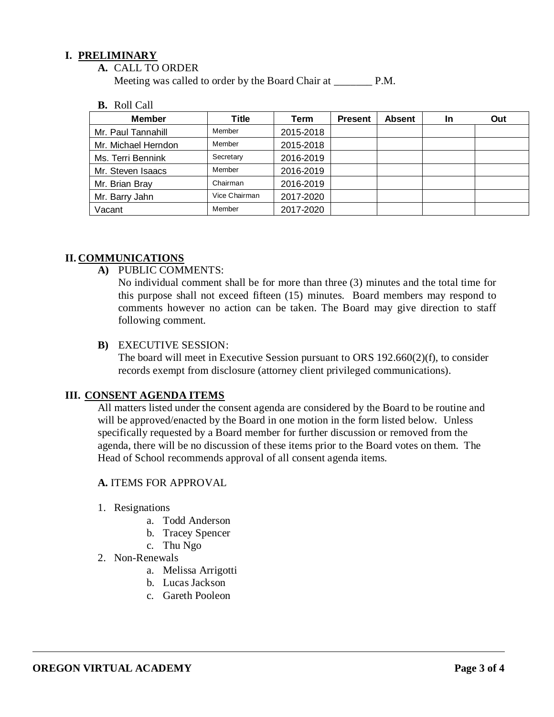### **I. PRELIMINARY**

**A.** CALL TO ORDER

Meeting was called to order by the Board Chair at P.M.

#### **B.** Roll Call

| <b>Member</b>       | <b>Title</b>  | Term      | <b>Present</b> | <b>Absent</b> | In | Out |
|---------------------|---------------|-----------|----------------|---------------|----|-----|
| Mr. Paul Tannahill  | Member        | 2015-2018 |                |               |    |     |
| Mr. Michael Herndon | Member        | 2015-2018 |                |               |    |     |
| Ms. Terri Bennink   | Secretary     | 2016-2019 |                |               |    |     |
| Mr. Steven Isaacs   | Member        | 2016-2019 |                |               |    |     |
| Mr. Brian Bray      | Chairman      | 2016-2019 |                |               |    |     |
| Mr. Barry Jahn      | Vice Chairman | 2017-2020 |                |               |    |     |
| Vacant              | Member        | 2017-2020 |                |               |    |     |

### **II. COMMUNICATIONS**

**A)** PUBLIC COMMENTS:

No individual comment shall be for more than three (3) minutes and the total time for this purpose shall not exceed fifteen (15) minutes. Board members may respond to comments however no action can be taken. The Board may give direction to staff following comment.

#### **B)** EXECUTIVE SESSION:

The board will meet in Executive Session pursuant to ORS 192.660(2)(f), to consider records exempt from disclosure (attorney client privileged communications).

## **III. CONSENT AGENDA ITEMS**

All matters listed under the consent agenda are considered by the Board to be routine and will be approved/enacted by the Board in one motion in the form listed below. Unless specifically requested by a Board member for further discussion or removed from the agenda, there will be no discussion of these items prior to the Board votes on them. The Head of School recommends approval of all consent agenda items.

#### **A.** ITEMS FOR APPROVAL

- 1. Resignations
	- a. Todd Anderson
	- b. Tracey Spencer
	- c. Thu Ngo
- 2. Non-Renewals
	- a. Melissa Arrigotti
	- b. Lucas Jackson
	- c. Gareth Pooleon